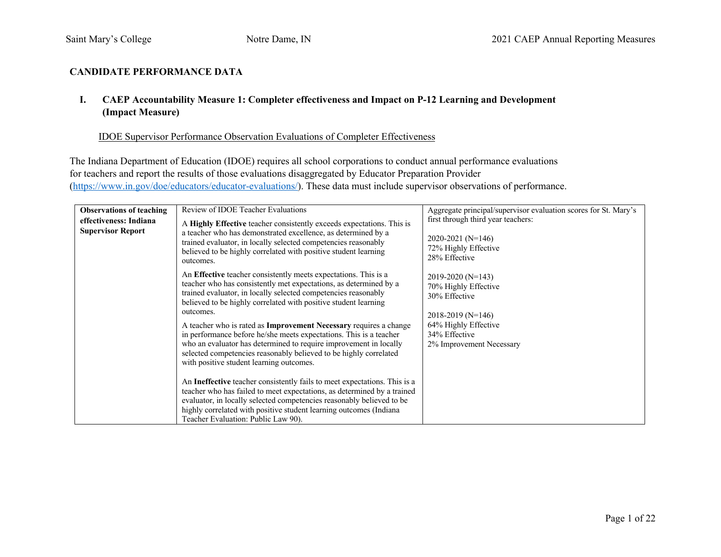# **CANDIDATE PERFORMANCE DATA**

### **I. CAEP Accountability Measure 1: Completer effectiveness and Impact on P-12 Learning and Development (Impact Measure)**

#### IDOE Supervisor Performance Observation Evaluations of Completer Effectiveness

The Indiana Department of Education (IDOE) requires all school corporations to conduct annual performance evaluations for teachers and report the results of those evaluations disaggregated by Educator Preparation Provider (https://www.in.gov/doe/educators/educator-evaluations/). These data must include supervisor observations of performance.

| <b>Observations of teaching</b><br>effectiveness: Indiana<br><b>Supervisor Report</b> | Review of IDOE Teacher Evaluations<br>A Highly Effective teacher consistently exceeds expectations. This is<br>a teacher who has demonstrated excellence, as determined by a<br>trained evaluator, in locally selected competencies reasonably<br>believed to be highly correlated with positive student learning<br>outcomes.                                                                                                                                                                                                                                                                                                                                                                                                                                                                                                                                                                                                                                        | Aggregate principal/supervisor evaluation scores for St. Mary's<br>first through third year teachers:<br>$2020 - 2021$ (N=146)<br>72% Highly Effective<br>28% Effective |
|---------------------------------------------------------------------------------------|-----------------------------------------------------------------------------------------------------------------------------------------------------------------------------------------------------------------------------------------------------------------------------------------------------------------------------------------------------------------------------------------------------------------------------------------------------------------------------------------------------------------------------------------------------------------------------------------------------------------------------------------------------------------------------------------------------------------------------------------------------------------------------------------------------------------------------------------------------------------------------------------------------------------------------------------------------------------------|-------------------------------------------------------------------------------------------------------------------------------------------------------------------------|
|                                                                                       | An Effective teacher consistently meets expectations. This is a<br>teacher who has consistently met expectations, as determined by a<br>trained evaluator, in locally selected competencies reasonably<br>believed to be highly correlated with positive student learning<br>outcomes.<br>A teacher who is rated as Improvement Necessary requires a change<br>in performance before he/she meets expectations. This is a teacher<br>who an evaluator has determined to require improvement in locally<br>selected competencies reasonably believed to be highly correlated<br>with positive student learning outcomes.<br>An Ineffective teacher consistently fails to meet expectations. This is a<br>teacher who has failed to meet expectations, as determined by a trained<br>evaluator, in locally selected competencies reasonably believed to be<br>highly correlated with positive student learning outcomes (Indiana<br>Teacher Evaluation: Public Law 90). | 2019-2020 (N=143)<br>70% Highly Effective<br>30% Effective<br>$2018 - 2019$ (N=146)<br>64% Highly Effective<br>34% Effective<br>2% Improvement Necessary                |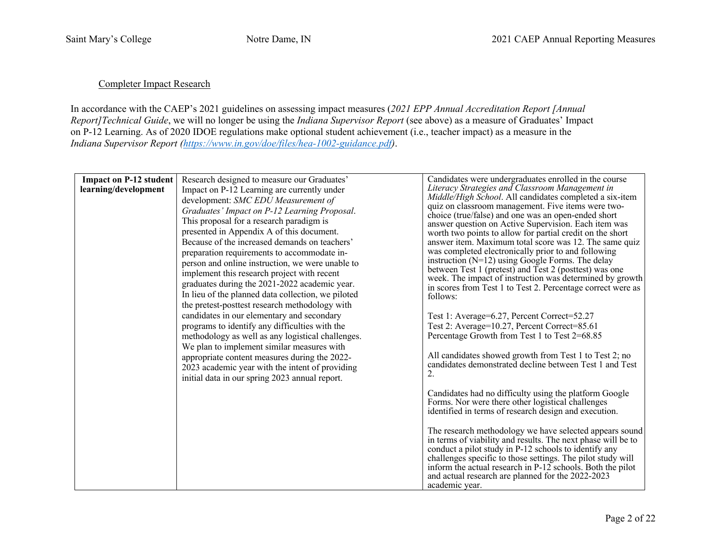# Completer Impact Research

In accordance with the CAEP's 2021 guidelines on assessing impact measures (*2021 EPP Annual Accreditation Report [Annual Report]Technical Guide*, we will no longer be using the *Indiana Supervisor Report* (see above) as a measure of Graduates' Impact on P-12 Learning. As of 2020 IDOE regulations make optional student achievement (i.e., teacher impact) as a measure in the *Indiana Supervisor Report (https://www.in.gov/doe/files/hea-1002-guidance.pdf)*.

| <b>Impact on P-12 student</b> | Research designed to measure our Graduates'        | Candidates were undergraduates enrolled in the course<br>Literacy Strategies and Classroom Management in           |
|-------------------------------|----------------------------------------------------|--------------------------------------------------------------------------------------------------------------------|
| learning/development          | Impact on P-12 Learning are currently under        | Middle/High School. All candidates completed a six-item                                                            |
|                               | development: SMC EDU Measurement of                | quiz on classroom management. Five items were two-                                                                 |
|                               | Graduates' Impact on P-12 Learning Proposal.       | choice (true/false) and one was an open-ended short                                                                |
|                               | This proposal for a research paradigm is           | answer question on Active Supervision. Each item was                                                               |
|                               | presented in Appendix A of this document.          | worth two points to allow for partial credit on the short                                                          |
|                               | Because of the increased demands on teachers'      | answer item. Maximum total score was 12. The same quiz                                                             |
|                               | preparation requirements to accommodate in-        | was completed electronically prior to and following                                                                |
|                               | person and online instruction, we were unable to   | instruction $(N=12)$ using Google Forms. The delay                                                                 |
|                               | implement this research project with recent        | between Test 1 (pretest) and Test 2 (posttest) was one<br>week. The impact of instruction was determined by growth |
|                               | graduates during the 2021-2022 academic year.      | in scores from Test 1 to Test 2. Percentage correct were as                                                        |
|                               | In lieu of the planned data collection, we piloted | follows:                                                                                                           |
|                               | the pretest-posttest research methodology with     |                                                                                                                    |
|                               | candidates in our elementary and secondary         | Test 1: Average=6.27, Percent Correct=52.27                                                                        |
|                               | programs to identify any difficulties with the     | Test 2: Average=10.27, Percent Correct=85.61                                                                       |
|                               | methodology as well as any logistical challenges.  | Percentage Growth from Test 1 to Test 2=68.85                                                                      |
|                               | We plan to implement similar measures with         |                                                                                                                    |
|                               | appropriate content measures during the 2022-      | All candidates showed growth from Test 1 to Test 2; no                                                             |
|                               | 2023 academic year with the intent of providing    | candidates demonstrated decline between Test 1 and Test                                                            |
|                               | initial data in our spring 2023 annual report.     | 2.                                                                                                                 |
|                               |                                                    |                                                                                                                    |
|                               |                                                    | Candidates had no difficulty using the platform Google                                                             |
|                               |                                                    | Forms. Nor were there other logistical challenges                                                                  |
|                               |                                                    | identified in terms of research design and execution.                                                              |
|                               |                                                    | The research methodology we have selected appears sound                                                            |
|                               |                                                    | in terms of viability and results. The next phase will be to                                                       |
|                               |                                                    | conduct a pilot study in P-12 schools to identify any                                                              |
|                               |                                                    | challenges specific to those settings. The pilot study will                                                        |
|                               |                                                    | inform the actual research in P-12 schools. Both the pilot                                                         |
|                               |                                                    | and actual research are planned for the 2022-2023                                                                  |
|                               |                                                    | academic year.                                                                                                     |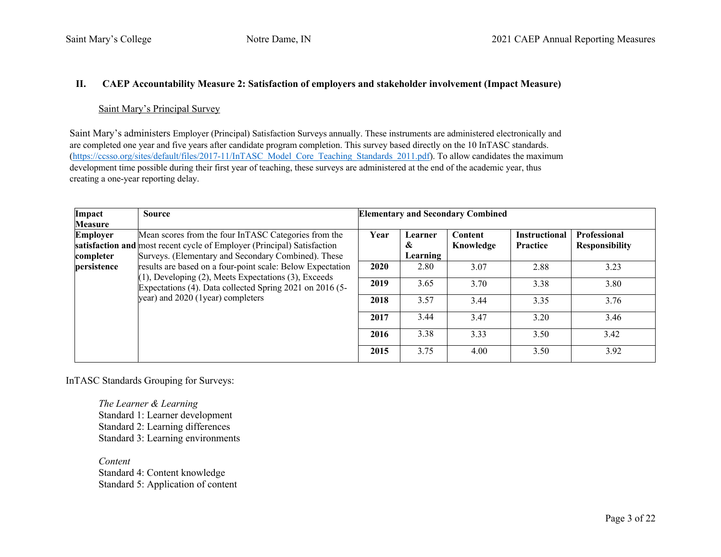### **II. CAEP Accountability Measure 2: Satisfaction of employers and stakeholder involvement (Impact Measure)**

#### Saint Mary's Principal Survey

Saint Mary's administers Employer (Principal) Satisfaction Surveys annually. These instruments are administered electronically and are completed one year and five years after candidate program completion. This survey based directly on the 10 InTASC standards. (https://ccsso.org/sites/default/files/2017-11/InTASC\_Model\_Core\_Teaching\_Standards\_2011.pdf). To allow candidates the maximum development time possible during their first year of teaching, these surveys are administered at the end of the academic year, thus creating a one-year reporting delay.

| Impact          | <b>Source</b>                                                                                                                                                                                                       | <b>Elementary and Secondary Combined</b> |          |                |                      |                       |  |
|-----------------|---------------------------------------------------------------------------------------------------------------------------------------------------------------------------------------------------------------------|------------------------------------------|----------|----------------|----------------------|-----------------------|--|
| <b>Measure</b>  |                                                                                                                                                                                                                     |                                          |          |                |                      |                       |  |
| <b>Employer</b> | Mean scores from the four InTASC Categories from the                                                                                                                                                                | Year                                     | Learner  | <b>Content</b> | <b>Instructional</b> | <b>Professional</b>   |  |
|                 | satisfaction and most recent cycle of Employer (Principal) Satisfaction                                                                                                                                             |                                          | &        | Knowledge      | Practice             | <b>Responsibility</b> |  |
| completer       | Surveys. (Elementary and Secondary Combined). These                                                                                                                                                                 |                                          | Learning |                |                      |                       |  |
| persistence     | results are based on a four-point scale: Below Expectation<br>(1), Developing (2), Meets Expectations (3), Exceeds<br>Expectations (4). Data collected Spring 2021 on 2016 (5-<br>year) and 2020 (1year) completers | 2020                                     | 2.80     | 3.07           | 2.88                 | 3.23                  |  |
|                 |                                                                                                                                                                                                                     | 2019                                     | 3.65     | 3.70           | 3.38                 | 3.80                  |  |
|                 |                                                                                                                                                                                                                     | 2018                                     | 3.57     | 3.44           | 3.35                 | 3.76                  |  |
|                 |                                                                                                                                                                                                                     | 2017                                     | 3.44     | 3.47           | 3.20                 | 3.46                  |  |
|                 |                                                                                                                                                                                                                     | 2016                                     | 3.38     | 3.33           | 3.50                 | 3.42                  |  |
|                 |                                                                                                                                                                                                                     | 2015                                     | 3.75     | 4.00           | 3.50                 | 3.92                  |  |

InTASC Standards Grouping for Surveys:

*The Learner & Learning*  Standard 1: Learner development Standard 2: Learning differences Standard 3: Learning environments

*Content*  Standard 4: Content knowledge Standard 5: Application of content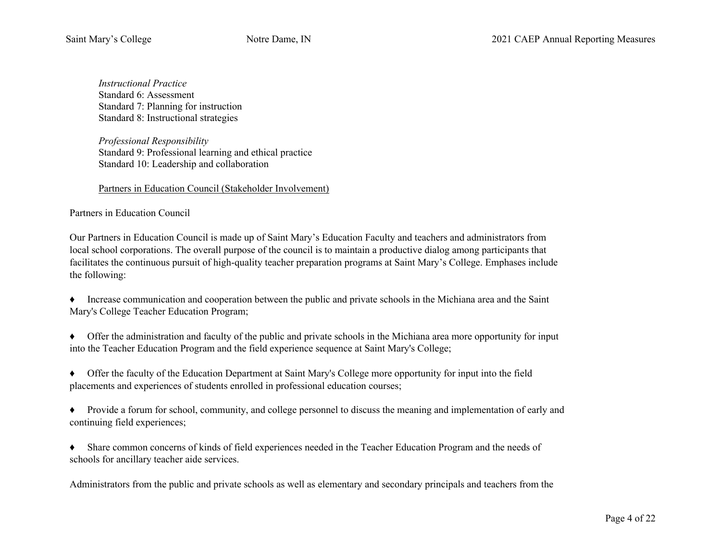*Instructional Practice*  Standard 6: Assessment Standard 7: Planning for instruction Standard 8: Instructional strategies

*Professional Responsibility*  Standard 9: Professional learning and ethical practice Standard 10: Leadership and collaboration

### Partners in Education Council (Stakeholder Involvement)

### Partners in Education Council

Our Partners in Education Council is made up of Saint Mary's Education Faculty and teachers and administrators from local school corporations. The overall purpose of the council is to maintain a productive dialog among participants that facilitates the continuous pursuit of high-quality teacher preparation programs at Saint Mary's College. Emphases include the following:

- ♦ Increase communication and cooperation between the public and private schools in the Michiana area and the Saint Mary's College Teacher Education Program;
- ♦ Offer the administration and faculty of the public and private schools in the Michiana area more opportunity for input into the Teacher Education Program and the field experience sequence at Saint Mary's College;
- ♦ Offer the faculty of the Education Department at Saint Mary's College more opportunity for input into the field placements and experiences of students enrolled in professional education courses;
- ♦ Provide a forum for school, community, and college personnel to discuss the meaning and implementation of early and continuing field experiences;
- ♦ Share common concerns of kinds of field experiences needed in the Teacher Education Program and the needs of schools for ancillary teacher aide services.

Administrators from the public and private schools as well as elementary and secondary principals and teachers from the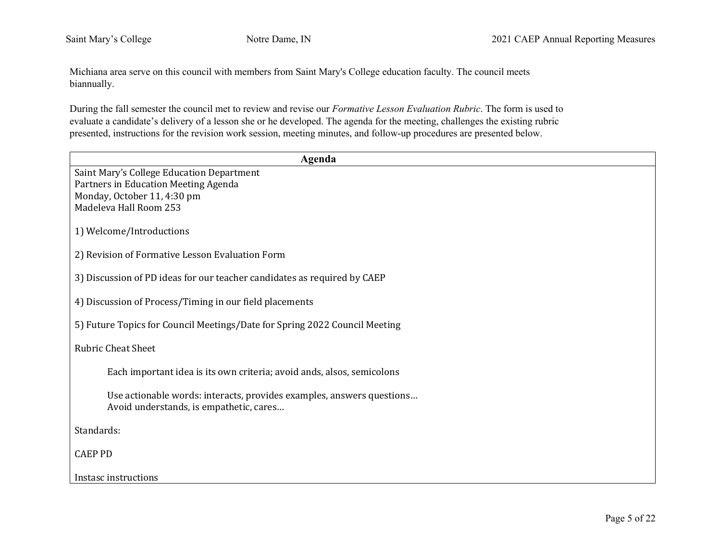Michiana area serve on this council with members from Saint Mary's College education faculty. The council meets biannually.

During the fall semester the council met to review and revise our *Formative Lesson Evaluation Rubric*. The form is used to evaluate a candidate's delivery of a lesson she or he developed. The agenda for the meeting, challenges the existing rubric presented, instructions for the revision work session, meeting minutes, and follow-up procedures are presented below.

| Agenda                                                                     |
|----------------------------------------------------------------------------|
| Saint Mary's College Education Department                                  |
| Partners in Education Meeting Agenda                                       |
| Monday, October 11, 4:30 pm                                                |
| Madeleva Hall Room 253                                                     |
| 1) Welcome/Introductions                                                   |
| 2) Revision of Formative Lesson Evaluation Form                            |
| 3) Discussion of PD ideas for our teacher candidates as required by CAEP   |
| 4) Discussion of Process/Timing in our field placements                    |
| 5) Future Topics for Council Meetings/Date for Spring 2022 Council Meeting |
| <b>Rubric Cheat Sheet</b>                                                  |
| Each important idea is its own criteria; avoid ands, alsos, semicolons     |
| Use actionable words: interacts, provides examples, answers questions      |
| Avoid understands, is empathetic, cares                                    |
| Standards:                                                                 |
| <b>CAEP PD</b>                                                             |
| Instasc instructions                                                       |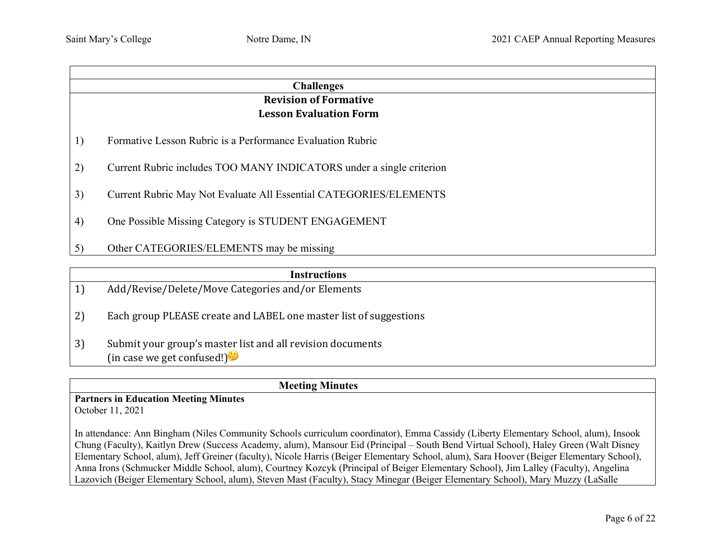|                              | <b>Challenges</b>                                                    |  |  |  |  |  |
|------------------------------|----------------------------------------------------------------------|--|--|--|--|--|
|                              | <b>Revision of Formative</b>                                         |  |  |  |  |  |
|                              | <b>Lesson Evaluation Form</b>                                        |  |  |  |  |  |
| 1)                           | Formative Lesson Rubric is a Performance Evaluation Rubric           |  |  |  |  |  |
| 2)                           | Current Rubric includes TOO MANY INDICATORS under a single criterion |  |  |  |  |  |
| 3)                           | Current Rubric May Not Evaluate All Essential CATEGORIES/ELEMENTS    |  |  |  |  |  |
| $\left( \frac{4}{2} \right)$ | One Possible Missing Category is STUDENT ENGAGEMENT                  |  |  |  |  |  |
| 5)                           | Other CATEGORIES/ELEMENTS may be missing                             |  |  |  |  |  |

|    | <b>Instructions</b>                                                                      |
|----|------------------------------------------------------------------------------------------|
| 1) | Add/Revise/Delete/Move Categories and/or Elements                                        |
| 2) | Each group PLEASE create and LABEL one master list of suggestions                        |
| 3) | Submit your group's master list and all revision documents<br>(in case we get confused!) |

**Meeting Minutes**

**Partners in Education Meeting Minutes** October 11, 2021

In attendance: Ann Bingham (Niles Community Schools curriculum coordinator), Emma Cassidy (Liberty Elementary School, alum), Insook Chung (Faculty), Kaitlyn Drew (Success Academy, alum), Mansour Eid (Principal – South Bend Virtual School), Haley Green (Walt Disney Elementary School, alum), Jeff Greiner (faculty), Nicole Harris (Beiger Elementary School, alum), Sara Hoover (Beiger Elementary School), Anna Irons (Schmucker Middle School, alum), Courtney Kozcyk (Principal of Beiger Elementary School), Jim Lalley (Faculty), Angelina Lazovich (Beiger Elementary School, alum), Steven Mast (Faculty), Stacy Minegar (Beiger Elementary School), Mary Muzzy (LaSalle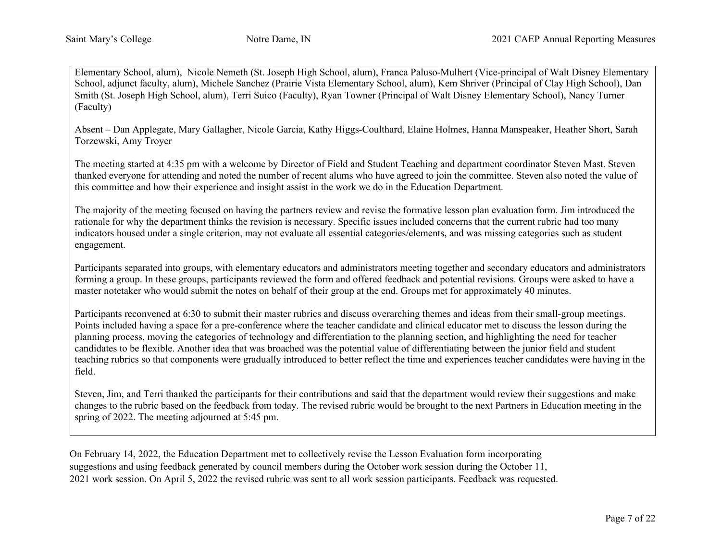Elementary School, alum), Nicole Nemeth (St. Joseph High School, alum), Franca Paluso-Mulhert (Vice-principal of Walt Disney Elementary School, adjunct faculty, alum), Michele Sanchez (Prairie Vista Elementary School, alum), Kem Shriver (Principal of Clay High School), Dan Smith (St. Joseph High School, alum), Terri Suico (Faculty), Ryan Towner (Principal of Walt Disney Elementary School), Nancy Turner (Faculty)

Absent – Dan Applegate, Mary Gallagher, Nicole Garcia, Kathy Higgs-Coulthard, Elaine Holmes, Hanna Manspeaker, Heather Short, Sarah Torzewski, Amy Troyer

The meeting started at 4:35 pm with a welcome by Director of Field and Student Teaching and department coordinator Steven Mast. Steven thanked everyone for attending and noted the number of recent alums who have agreed to join the committee. Steven also noted the value of this committee and how their experience and insight assist in the work we do in the Education Department.

The majority of the meeting focused on having the partners review and revise the formative lesson plan evaluation form. Jim introduced the rationale for why the department thinks the revision is necessary. Specific issues included concerns that the current rubric had too many indicators housed under a single criterion, may not evaluate all essential categories/elements, and was missing categories such as student engagement.

Participants separated into groups, with elementary educators and administrators meeting together and secondary educators and administrators forming a group. In these groups, participants reviewed the form and offered feedback and potential revisions. Groups were asked to have a master notetaker who would submit the notes on behalf of their group at the end. Groups met for approximately 40 minutes.

Participants reconvened at 6:30 to submit their master rubrics and discuss overarching themes and ideas from their small-group meetings. Points included having a space for a pre-conference where the teacher candidate and clinical educator met to discuss the lesson during the planning process, moving the categories of technology and differentiation to the planning section, and highlighting the need for teacher candidates to be flexible. Another idea that was broached was the potential value of differentiating between the junior field and student teaching rubrics so that components were gradually introduced to better reflect the time and experiences teacher candidates were having in the field.

Steven, Jim, and Terri thanked the participants for their contributions and said that the department would review their suggestions and make changes to the rubric based on the feedback from today. The revised rubric would be brought to the next Partners in Education meeting in the spring of 2022. The meeting adjourned at 5:45 pm.

On February 14, 2022, the Education Department met to collectively revise the Lesson Evaluation form incorporating suggestions and using feedback generated by council members during the October work session during the October 11, 2021 work session. On April 5, 2022 the revised rubric was sent to all work session participants. Feedback was requested.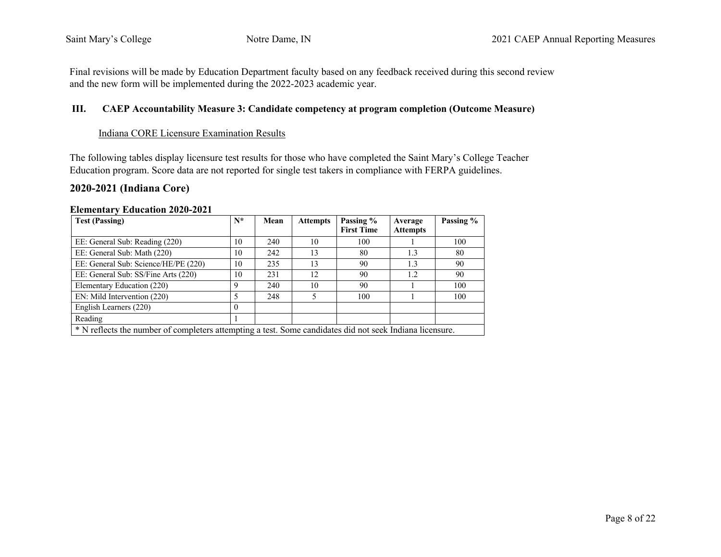Final revisions will be made by Education Department faculty based on any feedback received during this second review and the new form will be implemented during the 2022-2023 academic year.

### **III. CAEP Accountability Measure 3: Candidate competency at program completion (Outcome Measure)**

#### Indiana CORE Licensure Examination Results

The following tables display licensure test results for those who have completed the Saint Mary's College Teacher Education program. Score data are not reported for single test takers in compliance with FERPA guidelines.

# **2020-2021 (Indiana Core)**

| <b>Test (Passing)</b>                                                                                    | $N^*$       | Mean | <b>Attempts</b> | Passing %<br><b>First Time</b> | Average<br><b>Attempts</b> | Passing % |
|----------------------------------------------------------------------------------------------------------|-------------|------|-----------------|--------------------------------|----------------------------|-----------|
| EE: General Sub: Reading (220)                                                                           | 10          | 240  | 10              | 100                            |                            | 100       |
| EE: General Sub: Math (220)                                                                              | 10          | 242  | 13              | 80                             | 1.3                        | 80        |
| EE: General Sub: Science/HE/PE (220)                                                                     | 10          | 235  | 13              | 90                             | 1.3                        | 90        |
| EE: General Sub: SS/Fine Arts (220)                                                                      | 10          | 231  | 12              | 90                             | 1.2                        | 90        |
| Elementary Education (220)                                                                               | $\mathbf Q$ | 240  | 10              | 90                             |                            | 100       |
| EN: Mild Intervention (220)                                                                              |             | 248  |                 | 100                            |                            | 100       |
| English Learners (220)                                                                                   | $\Omega$    |      |                 |                                |                            |           |
| Reading                                                                                                  |             |      |                 |                                |                            |           |
| * N reflects the number of completers attempting a test. Some candidates did not seek Indiana licensure. |             |      |                 |                                |                            |           |

#### **Elementary Education 2020-2021**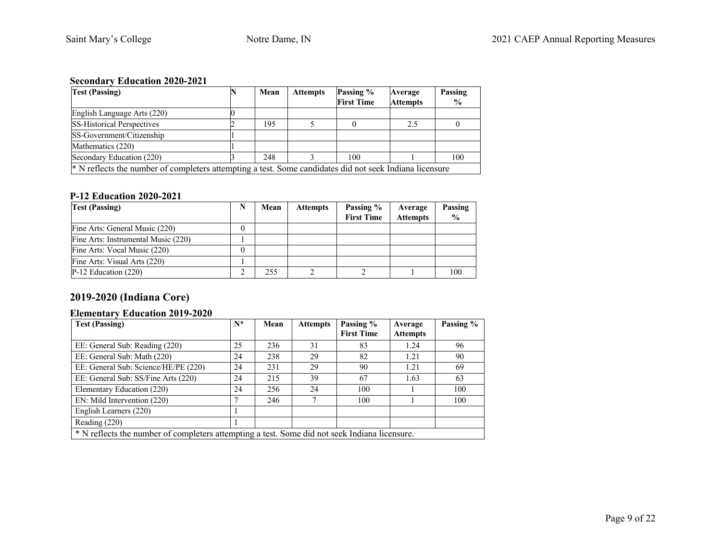# **Secondary Education 2020-2021**

| <b>Test (Passing)</b>                                                                                              | Mean | <b>Attempts</b> | Passing %         | Average         | Passing       |
|--------------------------------------------------------------------------------------------------------------------|------|-----------------|-------------------|-----------------|---------------|
|                                                                                                                    |      |                 | <b>First Time</b> | <b>Attempts</b> | $\frac{0}{0}$ |
| English Language Arts (220)                                                                                        |      |                 |                   |                 |               |
| <b>SS-Historical Perspectives</b>                                                                                  | 195  |                 |                   | 2.5             |               |
| SS-Government/Citizenship                                                                                          |      |                 |                   |                 |               |
| Mathematics (220)                                                                                                  |      |                 |                   |                 |               |
| Secondary Education (220)                                                                                          | 248  |                 | 100               |                 | 100           |
| <sup>*</sup> N reflects the number of completers attempting a test. Some candidates did not seek Indiana licensure |      |                 |                   |                 |               |

## **P-12 Education 2020-2021**

| <b>Test (Passing)</b>               | N | Mean | <b>Attempts</b> | Passing %<br><b>First Time</b> | Average<br><b>Attempts</b> | Passing<br>$\frac{6}{6}$ |
|-------------------------------------|---|------|-----------------|--------------------------------|----------------------------|--------------------------|
| Fine Arts: General Music (220)      |   |      |                 |                                |                            |                          |
| Fine Arts: Instrumental Music (220) |   |      |                 |                                |                            |                          |
| Fine Arts: Vocal Music (220)        |   |      |                 |                                |                            |                          |
| Fine Arts: Visual Arts (220)        |   |      |                 |                                |                            |                          |
| $P-12$ Education (220)              |   | 255  |                 |                                |                            | 100                      |

# **2019-2020 (Indiana Core)**

## **Elementary Education 2019-2020**

| <b>Test (Passing)</b>                                                                         | $N^*$ | Mean | <b>Attempts</b> | Passing %<br><b>First Time</b> | Average<br><b>Attempts</b> | Passing % |
|-----------------------------------------------------------------------------------------------|-------|------|-----------------|--------------------------------|----------------------------|-----------|
|                                                                                               |       |      |                 |                                |                            |           |
| EE: General Sub: Reading (220)                                                                | 25    | 236  | 31              | 83                             | 1.24                       | 96        |
| EE: General Sub: Math (220)                                                                   | 24    | 238  | 29              | 82                             | 1.21                       | 90        |
| EE: General Sub: Science/HE/PE (220)                                                          | 24    | 231  | 29              | 90                             | 1.21                       | 69        |
| EE: General Sub: SS/Fine Arts (220)                                                           | 24    | 215  | 39              | 67                             | 1.63                       | 63        |
| Elementary Education (220)                                                                    | 24    | 256  | 24              | 100                            |                            | 100       |
| EN: Mild Intervention (220)                                                                   |       | 246  |                 | 100                            |                            | 100       |
| English Learners (220)                                                                        |       |      |                 |                                |                            |           |
| Reading (220)                                                                                 |       |      |                 |                                |                            |           |
| * N reflects the number of completers attempting a test. Some did not seek Indiana licensure. |       |      |                 |                                |                            |           |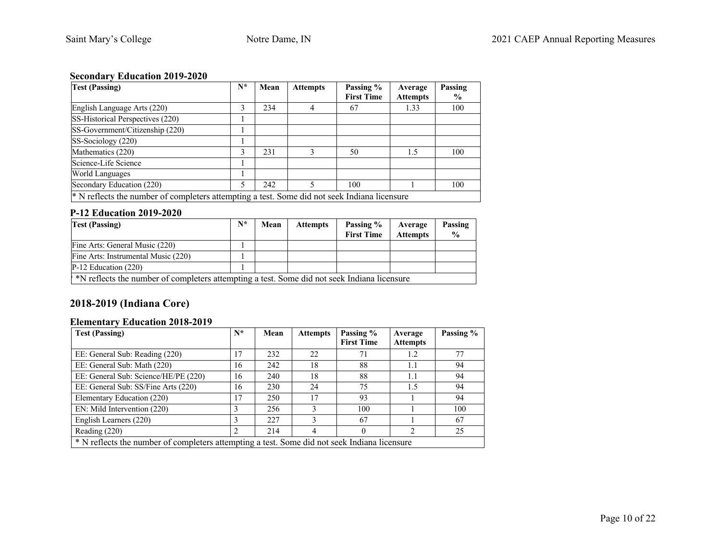# **Secondary Education 2019-2020**

| <b>Test (Passing)</b>                                                                                   | $N^*$ | Mean | <b>Attempts</b> | Passing %<br><b>First Time</b> | Average<br><b>Attempts</b> | Passing<br>$\%$ |
|---------------------------------------------------------------------------------------------------------|-------|------|-----------------|--------------------------------|----------------------------|-----------------|
|                                                                                                         |       |      |                 |                                |                            |                 |
| English Language Arts (220)                                                                             | 3     | 234  |                 | 67                             | 1.33                       | 100             |
| SS-Historical Perspectives (220)                                                                        |       |      |                 |                                |                            |                 |
| SS-Government/Citizenship (220)                                                                         |       |      |                 |                                |                            |                 |
| SS-Sociology (220)                                                                                      |       |      |                 |                                |                            |                 |
| Mathematics (220)                                                                                       | 3     | 231  | 3               | 50                             | 1.5                        | 100             |
| Science-Life Science                                                                                    |       |      |                 |                                |                            |                 |
| <b>World Languages</b>                                                                                  |       |      |                 |                                |                            |                 |
| Secondary Education (220)                                                                               | 5     | 242  | 5               | 100                            |                            | 100             |
| <sup>*</sup> N reflects the number of completers attempting a test. Some did not seek Indiana licensure |       |      |                 |                                |                            |                 |

## **P-12 Education 2019-2020**

| <b>Test (Passing)</b>                                                                       | $N^*$ | Mean | <b>Attempts</b> | Passing %<br><b>First Time</b> | Average<br><b>Attempts</b> | Passing<br>$\frac{0}{0}$ |
|---------------------------------------------------------------------------------------------|-------|------|-----------------|--------------------------------|----------------------------|--------------------------|
| Fine Arts: General Music (220)                                                              |       |      |                 |                                |                            |                          |
| Fine Arts: Instrumental Music (220)                                                         |       |      |                 |                                |                            |                          |
| $P-12$ Education (220)                                                                      |       |      |                 |                                |                            |                          |
| *N reflects the number of completers attempting a test. Some did not seek Indiana licensure |       |      |                 |                                |                            |                          |

# **2018-2019 (Indiana Core)**

# **Elementary Education 2018-2019**

| <b>Test (Passing)</b>                | $N^*$                                                                                        | Mean | <b>Attempts</b> | Passing %         | Average         | Passing % |  |  |  |
|--------------------------------------|----------------------------------------------------------------------------------------------|------|-----------------|-------------------|-----------------|-----------|--|--|--|
|                                      |                                                                                              |      |                 | <b>First Time</b> | <b>Attempts</b> |           |  |  |  |
| EE: General Sub: Reading (220)       | 17                                                                                           | 232  | 22              | 71                | 1.2             | 77        |  |  |  |
| EE: General Sub: Math (220)          | 16                                                                                           | 242  | 18              | 88                | 1.1             | 94        |  |  |  |
| EE: General Sub: Science/HE/PE (220) | 16                                                                                           | 240  | 18              | 88                | 1.1             | 94        |  |  |  |
| EE: General Sub: SS/Fine Arts (220)  | 16                                                                                           | 230  | 24              | 75                | 1.5             | 94        |  |  |  |
| Elementary Education (220)           | 17                                                                                           | 250  | 17              | 93                |                 | 94        |  |  |  |
| EN: Mild Intervention (220)          |                                                                                              | 256  |                 | 100               |                 | 100       |  |  |  |
| English Learners (220)               | 3                                                                                            | 227  |                 | 67                |                 | 67        |  |  |  |
| Reading (220)                        | 2                                                                                            | 214  |                 |                   |                 | 25        |  |  |  |
|                                      | * N reflects the number of completers attempting a test. Some did not seek Indiana licensure |      |                 |                   |                 |           |  |  |  |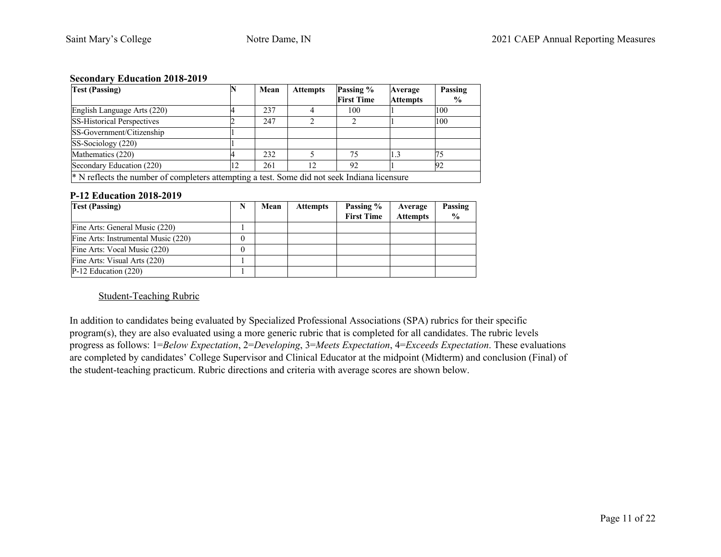#### **Secondary Education 2018-2019**

| <b>Test (Passing)</b>                                                                                   |    | Mean | <b>Attempts</b> | Passing %         | Average         | Passing       |  |  |
|---------------------------------------------------------------------------------------------------------|----|------|-----------------|-------------------|-----------------|---------------|--|--|
|                                                                                                         |    |      |                 | <b>First Time</b> | <b>Attempts</b> | $\frac{6}{9}$ |  |  |
| English Language Arts (220)                                                                             |    | 237  |                 | 100               |                 | 100           |  |  |
| <b>SS-Historical Perspectives</b>                                                                       |    | 247  |                 |                   |                 | 100           |  |  |
| SS-Government/Citizenship                                                                               |    |      |                 |                   |                 |               |  |  |
| SS-Sociology (220)                                                                                      |    |      |                 |                   |                 |               |  |  |
| Mathematics (220)                                                                                       |    | 232  |                 | 75                |                 |               |  |  |
| Secondary Education (220)                                                                               | 12 | 261  | 12              | 92                |                 | 92            |  |  |
| <sup>*</sup> N reflects the number of completers attempting a test. Some did not seek Indiana licensure |    |      |                 |                   |                 |               |  |  |

#### **P-12 Education 2018-2019**

| <b>Test (Passing)</b>               | Mean | <b>Attempts</b> | Passing %<br><b>First Time</b> | Average<br><b>Attempts</b> | Passing<br>$\frac{6}{9}$ |
|-------------------------------------|------|-----------------|--------------------------------|----------------------------|--------------------------|
| Fine Arts: General Music (220)      |      |                 |                                |                            |                          |
| Fine Arts: Instrumental Music (220) |      |                 |                                |                            |                          |
| Fine Arts: Vocal Music (220)        |      |                 |                                |                            |                          |
| Fine Arts: Visual Arts (220)        |      |                 |                                |                            |                          |
| $P-12$ Education (220)              |      |                 |                                |                            |                          |

#### Student-Teaching Rubric

In addition to candidates being evaluated by Specialized Professional Associations (SPA) rubrics for their specific program(s), they are also evaluated using a more generic rubric that is completed for all candidates. The rubric levels progress as follows: 1=*Below Expectation*, 2=*Developing*, 3=*Meets Expectation*, 4=*Exceeds Expectation*. These evaluations are completed by candidates' College Supervisor and Clinical Educator at the midpoint (Midterm) and conclusion (Final) of the student-teaching practicum. Rubric directions and criteria with average scores are shown below.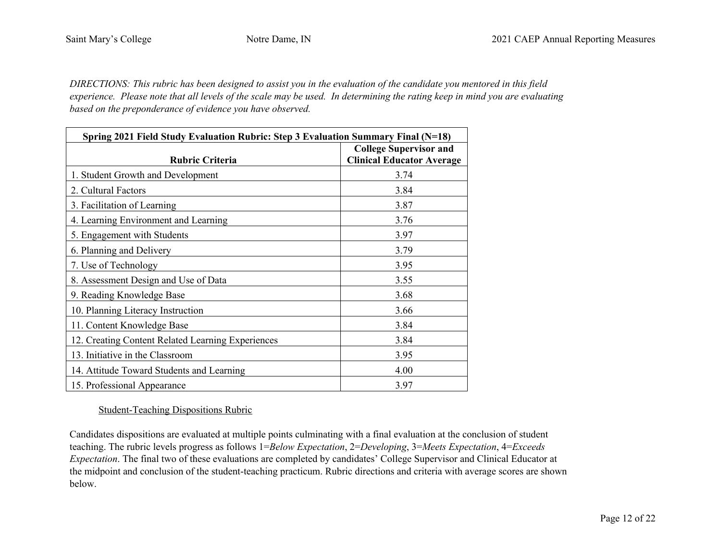*DIRECTIONS: This rubric has been designed to assist you in the evaluation of the candidate you mentored in this field experience. Please note that all levels of the scale may be used. In determining the rating keep in mind you are evaluating based on the preponderance of evidence you have observed.*

| Spring 2021 Field Study Evaluation Rubric: Step 3 Evaluation Summary Final (N=18) |                                                                   |
|-----------------------------------------------------------------------------------|-------------------------------------------------------------------|
| <b>Rubric Criteria</b>                                                            | <b>College Supervisor and</b><br><b>Clinical Educator Average</b> |
| 1. Student Growth and Development                                                 | 3.74                                                              |
| 2. Cultural Factors                                                               | 3.84                                                              |
| 3. Facilitation of Learning                                                       | 3.87                                                              |
| 4. Learning Environment and Learning                                              | 3.76                                                              |
| 5. Engagement with Students                                                       | 3.97                                                              |
| 6. Planning and Delivery                                                          | 3.79                                                              |
| 7. Use of Technology                                                              | 3.95                                                              |
| 8. Assessment Design and Use of Data                                              | 3.55                                                              |
| 9. Reading Knowledge Base                                                         | 3.68                                                              |
| 10. Planning Literacy Instruction                                                 | 3.66                                                              |
| 11. Content Knowledge Base                                                        | 3.84                                                              |
| 12. Creating Content Related Learning Experiences                                 | 3.84                                                              |
| 13. Initiative in the Classroom                                                   | 3.95                                                              |
| 14. Attitude Toward Students and Learning                                         | 4.00                                                              |
| 15. Professional Appearance                                                       | 3.97                                                              |

# Student-Teaching Dispositions Rubric

Candidates dispositions are evaluated at multiple points culminating with a final evaluation at the conclusion of student teaching. The rubric levels progress as follows 1=*Below Expectation*, 2=*Developing*, 3=*Meets Expectation*, 4=*Exceeds Expectation*. The final two of these evaluations are completed by candidates' College Supervisor and Clinical Educator at the midpoint and conclusion of the student-teaching practicum. Rubric directions and criteria with average scores are shown below.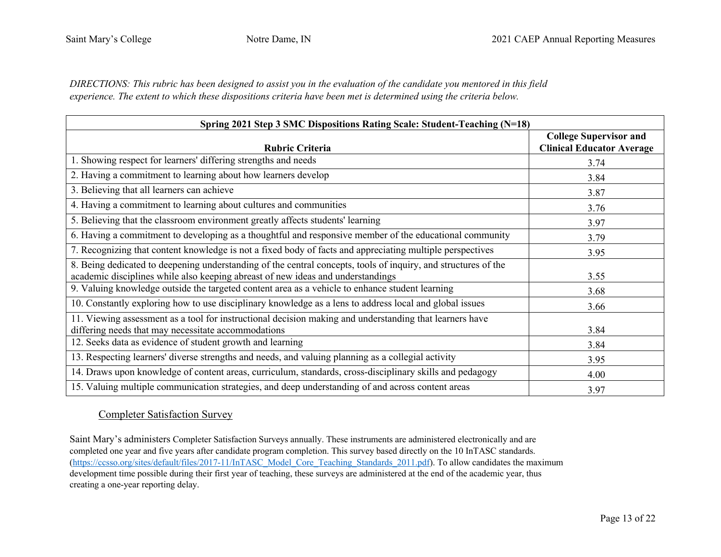*DIRECTIONS: This rubric has been designed to assist you in the evaluation of the candidate you mentored in this field experience. The extent to which these dispositions criteria have been met is determined using the criteria below.*

| Spring 2021 Step 3 SMC Dispositions Rating Scale: Student-Teaching (N=18)                                                                                                                         |                                                                   |  |  |  |  |
|---------------------------------------------------------------------------------------------------------------------------------------------------------------------------------------------------|-------------------------------------------------------------------|--|--|--|--|
| <b>Rubric Criteria</b>                                                                                                                                                                            | <b>College Supervisor and</b><br><b>Clinical Educator Average</b> |  |  |  |  |
| 1. Showing respect for learners' differing strengths and needs                                                                                                                                    | 3.74                                                              |  |  |  |  |
| 2. Having a commitment to learning about how learners develop                                                                                                                                     | 3.84                                                              |  |  |  |  |
| 3. Believing that all learners can achieve                                                                                                                                                        | 3.87                                                              |  |  |  |  |
| 4. Having a commitment to learning about cultures and communities                                                                                                                                 | 3.76                                                              |  |  |  |  |
| 5. Believing that the classroom environment greatly affects students' learning                                                                                                                    | 3.97                                                              |  |  |  |  |
| 6. Having a commitment to developing as a thoughtful and responsive member of the educational community                                                                                           | 3.79                                                              |  |  |  |  |
| 7. Recognizing that content knowledge is not a fixed body of facts and appreciating multiple perspectives                                                                                         | 3.95                                                              |  |  |  |  |
| 8. Being dedicated to deepening understanding of the central concepts, tools of inquiry, and structures of the<br>academic disciplines while also keeping abreast of new ideas and understandings | 3.55                                                              |  |  |  |  |
| 9. Valuing knowledge outside the targeted content area as a vehicle to enhance student learning                                                                                                   | 3.68                                                              |  |  |  |  |
| 10. Constantly exploring how to use disciplinary knowledge as a lens to address local and global issues                                                                                           | 3.66                                                              |  |  |  |  |
| 11. Viewing assessment as a tool for instructional decision making and understanding that learners have<br>differing needs that may necessitate accommodations                                    | 3.84                                                              |  |  |  |  |
| 12. Seeks data as evidence of student growth and learning                                                                                                                                         | 3.84                                                              |  |  |  |  |
| 13. Respecting learners' diverse strengths and needs, and valuing planning as a collegial activity                                                                                                | 3.95                                                              |  |  |  |  |
| 14. Draws upon knowledge of content areas, curriculum, standards, cross-disciplinary skills and pedagogy                                                                                          | 4.00                                                              |  |  |  |  |
| 15. Valuing multiple communication strategies, and deep understanding of and across content areas                                                                                                 | 3.97                                                              |  |  |  |  |

### Completer Satisfaction Survey

Saint Mary's administers Completer Satisfaction Surveys annually. These instruments are administered electronically and are completed one year and five years after candidate program completion. This survey based directly on the 10 InTASC standards. (https://ccsso.org/sites/default/files/2017-11/InTASC\_Model\_Core\_Teaching\_Standards\_2011.pdf). To allow candidates the maximum development time possible during their first year of teaching, these surveys are administered at the end of the academic year, thus creating a one-year reporting delay.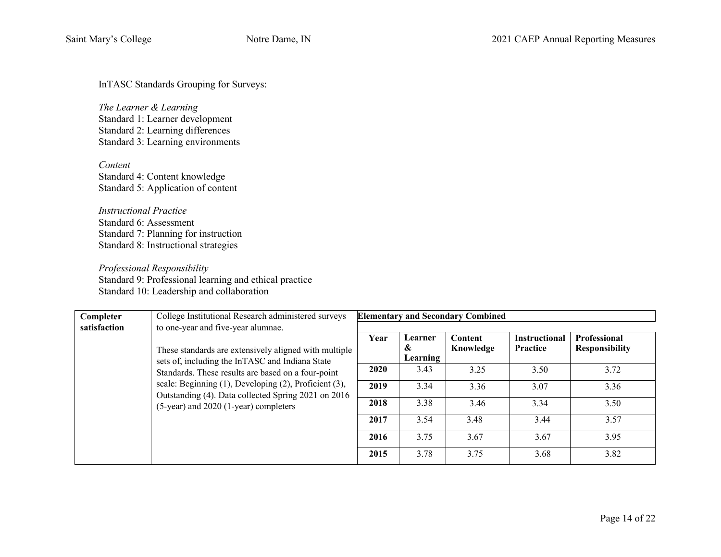InTASC Standards Grouping for Surveys:

*The Learner & Learning*  Standard 1: Learner development Standard 2: Learning differences Standard 3: Learning environments

*Content*  Standard 4: Content knowledge Standard 5: Application of content

*Instructional Practice*  Standard 6: Assessment Standard 7: Planning for instruction Standard 8: Instructional strategies

*Professional Responsibility*  Standard 9: Professional learning and ethical practice Standard 10: Leadership and collaboration

| Completer                                                                                                                                                                                                                                                                      | College Institutional Research administered surveys |                          |                      | <b>Elementary and Secondary Combined</b> |                                       |      |
|--------------------------------------------------------------------------------------------------------------------------------------------------------------------------------------------------------------------------------------------------------------------------------|-----------------------------------------------------|--------------------------|----------------------|------------------------------------------|---------------------------------------|------|
| satisfaction                                                                                                                                                                                                                                                                   | to one-year and five-year alumnae.                  |                          |                      |                                          |                                       |      |
| These standards are extensively aligned with multiple<br>sets of, including the InTASC and Indiana State<br>Standards. These results are based on a four-point<br>scale: Beginning (1), Developing (2), Proficient (3),<br>Outstanding (4). Data collected Spring 2021 on 2016 | Year                                                | Learner<br>&<br>Learning | Content<br>Knowledge | <b>Instructional</b><br>Practice         | Professional<br><b>Responsibility</b> |      |
|                                                                                                                                                                                                                                                                                | 2020                                                | 3.43                     | 3.25                 | 3.50                                     | 3.72                                  |      |
|                                                                                                                                                                                                                                                                                | 2019                                                | 3.34                     | 3.36                 | 3.07                                     | 3.36                                  |      |
|                                                                                                                                                                                                                                                                                | (5-year) and 2020 (1-year) completers               | 2018                     | 3.38                 | 3.46                                     | 3.34                                  | 3.50 |
|                                                                                                                                                                                                                                                                                |                                                     | 2017                     | 3.54                 | 3.48                                     | 3.44                                  | 3.57 |
|                                                                                                                                                                                                                                                                                |                                                     | 2016                     | 3.75                 | 3.67                                     | 3.67                                  | 3.95 |
|                                                                                                                                                                                                                                                                                |                                                     | 2015                     | 3.78                 | 3.75                                     | 3.68                                  | 3.82 |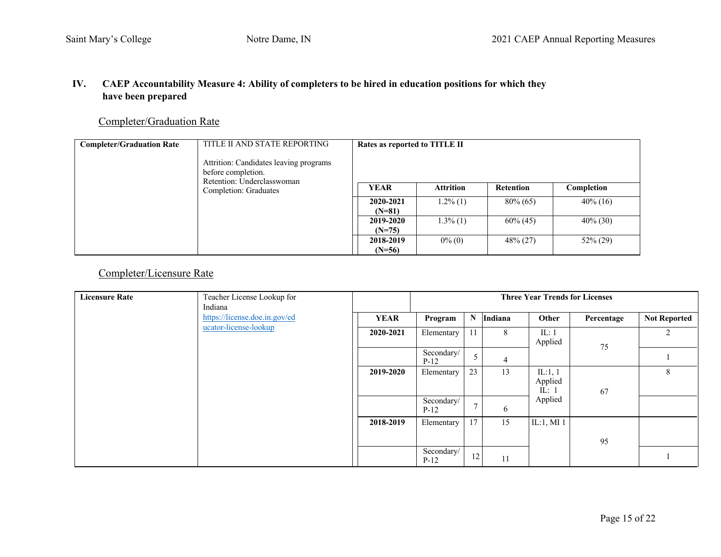# **IV. CAEP Accountability Measure 4: Ability of completers to be hired in education positions for which they have been prepared**

# Completer/Graduation Rate

| <b>Completer/Graduation Rate</b> | TITLE II AND STATE REPORTING<br>Attrition: Candidates leaving programs<br>before completion.<br>Retention: Underclasswoman | Rates as reported to TITLE II |                  |             |             |  |  |
|----------------------------------|----------------------------------------------------------------------------------------------------------------------------|-------------------------------|------------------|-------------|-------------|--|--|
| Completion: Graduates            | <b>YEAR</b>                                                                                                                | <b>Attrition</b>              | <b>Retention</b> | Completion  |             |  |  |
|                                  | 2020-2021<br>$(N=81)$                                                                                                      | $1.2\%$ (1)                   | $80\% (65)$      | $40\%$ (16) |             |  |  |
|                                  | 2019-2020<br>$(N=75)$                                                                                                      | $1.3\%$ (1)                   | $60\% (45)$      | $40\%$ (30) |             |  |  |
|                                  |                                                                                                                            | 2018-2019<br>$(N=56)$         | $0\%$ (0)        | $48\% (27)$ | $52\% (29)$ |  |  |

# Completer/Licensure Rate

| <b>Licensure Rate</b> | Teacher License Lookup for    |             | <b>Three Year Trends for Licenses</b> |                 |                |                                 |            |                     |
|-----------------------|-------------------------------|-------------|---------------------------------------|-----------------|----------------|---------------------------------|------------|---------------------|
|                       | Indiana                       |             |                                       |                 |                |                                 |            |                     |
|                       | https://license.doe.in.gov/ed | <b>YEAR</b> | Program                               |                 | N Indiana      | Other                           | Percentage | <b>Not Reported</b> |
|                       | ucator-license-lookup         | 2020-2021   | Elementary                            | 11              | 8              | IL:1<br>Applied                 | 75         |                     |
|                       |                               |             | Secondary/<br>$P-12$                  | $5\overline{)}$ | $\overline{4}$ |                                 |            |                     |
|                       |                               | 2019-2020   | Elementary                            | 23              | 13             | IL:1, $1$<br>Applied<br>IL: $1$ | 67         | 8                   |
|                       |                               |             | Secondary/<br>$P-12$                  | $\mathcal{I}$   | 6              | Applied                         |            |                     |
|                       |                               | 2018-2019   | Elementary                            | 17              | 15             | IL:1, MI $1$                    | 95         |                     |
|                       |                               |             | Secondary/<br>$P-12$                  | $12\,$          | 11             |                                 |            |                     |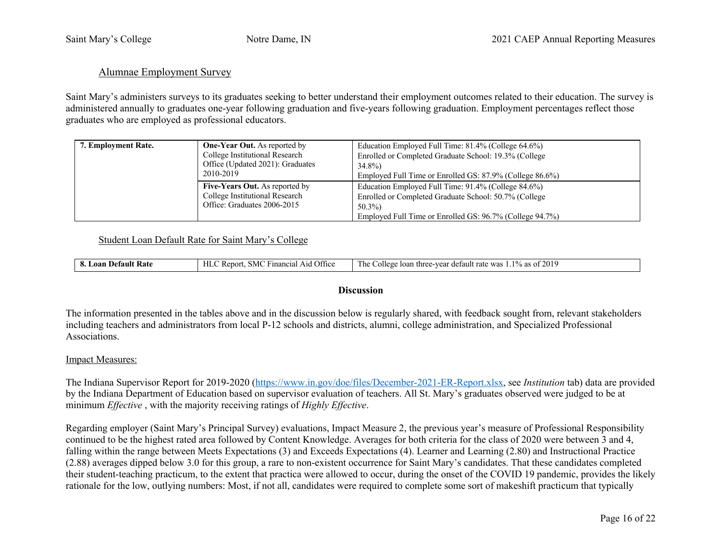### Alumnae Employment Survey

Saint Mary's administers surveys to its graduates seeking to better understand their employment outcomes related to their education. The survey is administered annually to graduates one-year following graduation and five-years following graduation. Employment percentages reflect those graduates who are employed as professional educators.

| 7. Employment Rate. | <b>One-Year Out.</b> As reported by<br>College Institutional Research<br>Office (Updated 2021): Graduates<br>2010-2019 | Education Employed Full Time: 81.4% (College 64.6%)<br>Enrolled or Completed Graduate School: 19.3% (College<br>$34.8\%$<br>Employed Full Time or Enrolled GS: 87.9% (College 86.6%) |
|---------------------|------------------------------------------------------------------------------------------------------------------------|--------------------------------------------------------------------------------------------------------------------------------------------------------------------------------------|
|                     | <b>Five-Years Out.</b> As reported by<br>College Institutional Research<br>Office: Graduates 2006-2015                 | Education Employed Full Time: 91.4% (College 84.6%)<br>Enrolled or Completed Graduate School: 50.7% (College<br>$50.3\%$<br>Employed Full Time or Enrolled GS: 96.7% (College 94.7%) |

#### Student Loan Default Rate for Saint Mary's College

| Detault<br>.<br>Aar<br>о.<br>ліян<br>rvav | ^)ffic、<br>5MC<br>∙man<br>- Repor<br>11.<br>∽нч | :2019<br>–<br>was<br>aetault rat<br>The.<br>e-vear<br>$\Omega$<br>ollege.<br>⊤thre∈<br>-loai<br>o as a<br><b>Tale</b> |
|-------------------------------------------|-------------------------------------------------|-----------------------------------------------------------------------------------------------------------------------|
|-------------------------------------------|-------------------------------------------------|-----------------------------------------------------------------------------------------------------------------------|

#### **Discussion**

The information presented in the tables above and in the discussion below is regularly shared, with feedback sought from, relevant stakeholders including teachers and administrators from local P-12 schools and districts, alumni, college administration, and Specialized Professional Associations.

#### Impact Measures:

The Indiana Supervisor Report for 2019-2020 (https://www.in.gov/doe/files/December-2021-ER-Report.xlsx, see *Institution* tab) data are provided by the Indiana Department of Education based on supervisor evaluation of teachers. All St. Mary's graduates observed were judged to be at minimum *Effective* , with the majority receiving ratings of *Highly Effective*.

Regarding employer (Saint Mary's Principal Survey) evaluations, Impact Measure 2, the previous year's measure of Professional Responsibility continued to be the highest rated area followed by Content Knowledge. Averages for both criteria for the class of 2020 were between 3 and 4, falling within the range between Meets Expectations (3) and Exceeds Expectations (4). Learner and Learning (2.80) and Instructional Practice (2.88) averages dipped below 3.0 for this group, a rare to non-existent occurrence for Saint Mary's candidates. That these candidates completed their student-teaching practicum, to the extent that practica were allowed to occur, during the onset of the COVID 19 pandemic, provides the likely rationale for the low, outlying numbers: Most, if not all, candidates were required to complete some sort of makeshift practicum that typically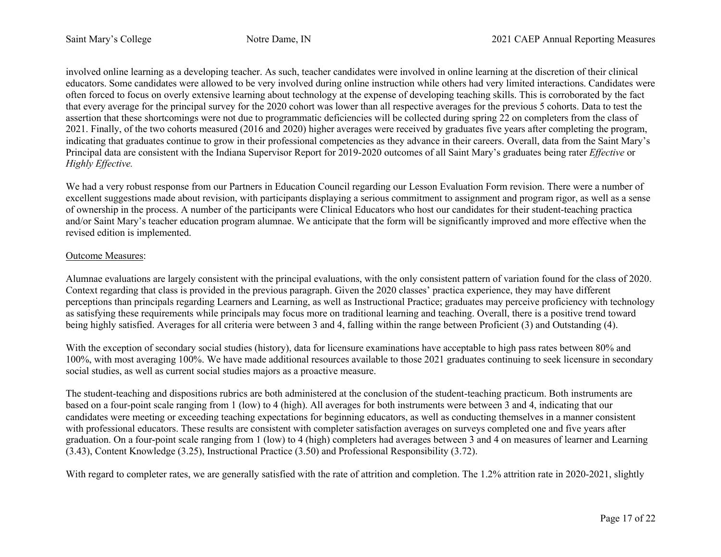involved online learning as a developing teacher. As such, teacher candidates were involved in online learning at the discretion of their clinical educators. Some candidates were allowed to be very involved during online instruction while others had very limited interactions. Candidates were often forced to focus on overly extensive learning about technology at the expense of developing teaching skills. This is corroborated by the fact that every average for the principal survey for the 2020 cohort was lower than all respective averages for the previous 5 cohorts. Data to test the assertion that these shortcomings were not due to programmatic deficiencies will be collected during spring 22 on completers from the class of 2021. Finally, of the two cohorts measured (2016 and 2020) higher averages were received by graduates five years after completing the program, indicating that graduates continue to grow in their professional competencies as they advance in their careers. Overall, data from the Saint Mary's Principal data are consistent with the Indiana Supervisor Report for 2019-2020 outcomes of all Saint Mary's graduates being rater *Effective* or *Highly Effective.*

We had a very robust response from our Partners in Education Council regarding our Lesson Evaluation Form revision. There were a number of excellent suggestions made about revision, with participants displaying a serious commitment to assignment and program rigor, as well as a sense of ownership in the process. A number of the participants were Clinical Educators who host our candidates for their student-teaching practica and/or Saint Mary's teacher education program alumnae. We anticipate that the form will be significantly improved and more effective when the revised edition is implemented.

### Outcome Measures:

Alumnae evaluations are largely consistent with the principal evaluations, with the only consistent pattern of variation found for the class of 2020. Context regarding that class is provided in the previous paragraph. Given the 2020 classes' practica experience, they may have different perceptions than principals regarding Learners and Learning, as well as Instructional Practice; graduates may perceive proficiency with technology as satisfying these requirements while principals may focus more on traditional learning and teaching. Overall, there is a positive trend toward being highly satisfied. Averages for all criteria were between 3 and 4, falling within the range between Proficient (3) and Outstanding (4).

With the exception of secondary social studies (history), data for licensure examinations have acceptable to high pass rates between 80% and 100%, with most averaging 100%. We have made additional resources available to those 2021 graduates continuing to seek licensure in secondary social studies, as well as current social studies majors as a proactive measure.

The student-teaching and dispositions rubrics are both administered at the conclusion of the student-teaching practicum. Both instruments are based on a four-point scale ranging from 1 (low) to 4 (high). All averages for both instruments were between 3 and 4, indicating that our candidates were meeting or exceeding teaching expectations for beginning educators, as well as conducting themselves in a manner consistent with professional educators. These results are consistent with completer satisfaction averages on surveys completed one and five years after graduation. On a four-point scale ranging from 1 (low) to 4 (high) completers had averages between 3 and 4 on measures of learner and Learning (3.43), Content Knowledge (3.25), Instructional Practice (3.50) and Professional Responsibility (3.72).

With regard to completer rates, we are generally satisfied with the rate of attrition and completion. The 1.2% attrition rate in 2020-2021, slightly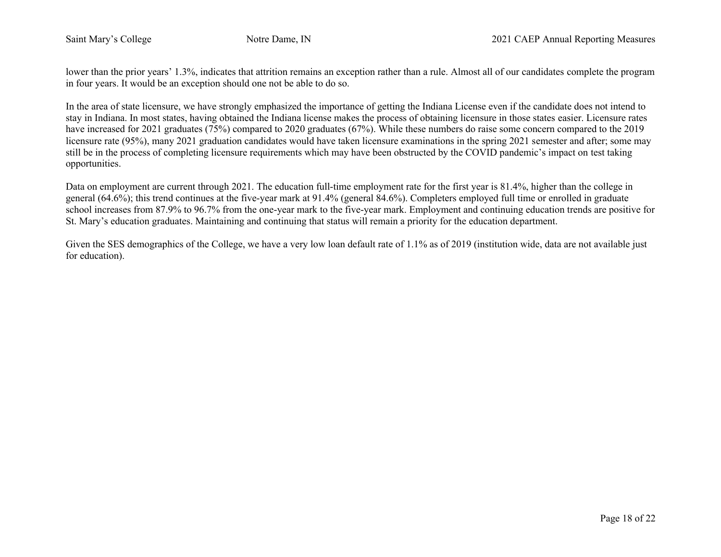lower than the prior years' 1.3%, indicates that attrition remains an exception rather than a rule. Almost all of our candidates complete the program in four years. It would be an exception should one not be able to do so.

In the area of state licensure, we have strongly emphasized the importance of getting the Indiana License even if the candidate does not intend to stay in Indiana. In most states, having obtained the Indiana license makes the process of obtaining licensure in those states easier. Licensure rates have increased for 2021 graduates (75%) compared to 2020 graduates (67%). While these numbers do raise some concern compared to the 2019 licensure rate (95%), many 2021 graduation candidates would have taken licensure examinations in the spring 2021 semester and after; some may still be in the process of completing licensure requirements which may have been obstructed by the COVID pandemic's impact on test taking opportunities.

Data on employment are current through 2021. The education full-time employment rate for the first year is 81.4%, higher than the college in general (64.6%); this trend continues at the five-year mark at 91.4% (general 84.6%). Completers employed full time or enrolled in graduate school increases from 87.9% to 96.7% from the one-year mark to the five-year mark. Employment and continuing education trends are positive for St. Mary's education graduates. Maintaining and continuing that status will remain a priority for the education department.

Given the SES demographics of the College, we have a very low loan default rate of 1.1% as of 2019 (institution wide, data are not available just for education).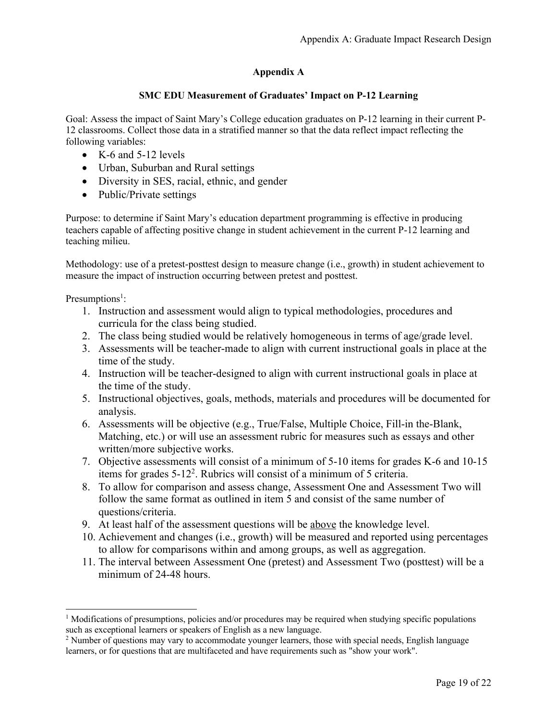# **Appendix A**

## **SMC EDU Measurement of Graduates' Impact on P-12 Learning**

Goal: Assess the impact of Saint Mary's College education graduates on P-12 learning in their current P-12 classrooms. Collect those data in a stratified manner so that the data reflect impact reflecting the following variables:

- K-6 and 5-12 levels
- Urban, Suburban and Rural settings
- Diversity in SES, racial, ethnic, and gender
- Public/Private settings

Purpose: to determine if Saint Mary's education department programming is effective in producing teachers capable of affecting positive change in student achievement in the current P-12 learning and teaching milieu.

Methodology: use of a pretest-posttest design to measure change (i.e., growth) in student achievement to measure the impact of instruction occurring between pretest and posttest.

Presumptions<sup>1</sup>:

- 1. Instruction and assessment would align to typical methodologies, procedures and curricula for the class being studied.
- 2. The class being studied would be relatively homogeneous in terms of age/grade level.
- 3. Assessments will be teacher-made to align with current instructional goals in place at the time of the study.
- 4. Instruction will be teacher-designed to align with current instructional goals in place at the time of the study.
- 5. Instructional objectives, goals, methods, materials and procedures will be documented for analysis.
- 6. Assessments will be objective (e.g., True/False, Multiple Choice, Fill-in the-Blank, Matching, etc.) or will use an assessment rubric for measures such as essays and other written/more subjective works.
- 7. Objective assessments will consist of a minimum of 5-10 items for grades K-6 and 10-15 items for grades 5-122. Rubrics will consist of a minimum of 5 criteria.
- 8. To allow for comparison and assess change, Assessment One and Assessment Two will follow the same format as outlined in item 5 and consist of the same number of questions/criteria.
- 9. At least half of the assessment questions will be above the knowledge level.
- 10. Achievement and changes (i.e., growth) will be measured and reported using percentages to allow for comparisons within and among groups, as well as aggregation.
- 11. The interval between Assessment One (pretest) and Assessment Two (posttest) will be a minimum of 24-48 hours.

<sup>1</sup> Modifications of presumptions, policies and/or procedures may be required when studying specific populations such as exceptional learners or speakers of English as a new language.

<sup>&</sup>lt;sup>2</sup> Number of questions may vary to accommodate younger learners, those with special needs, English language learners, or for questions that are multifaceted and have requirements such as "show your work".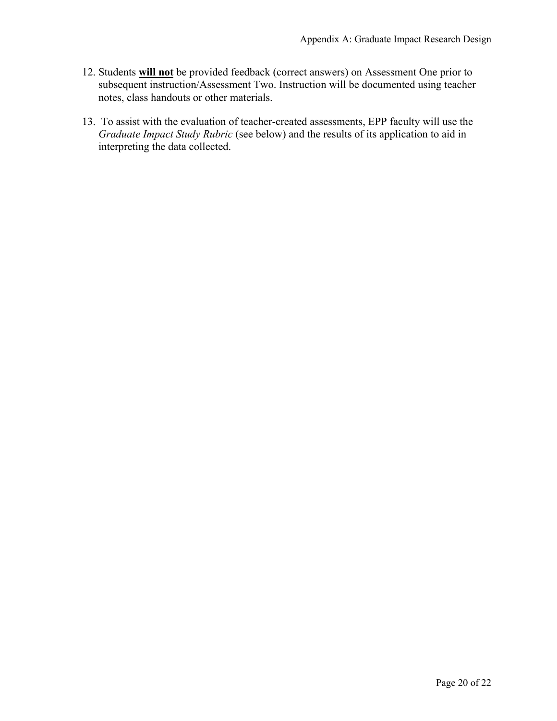- 12. Students **will not** be provided feedback (correct answers) on Assessment One prior to subsequent instruction/Assessment Two. Instruction will be documented using teacher notes, class handouts or other materials.
- 13. To assist with the evaluation of teacher-created assessments, EPP faculty will use the *Graduate Impact Study Rubric* (see below) and the results of its application to aid in interpreting the data collected.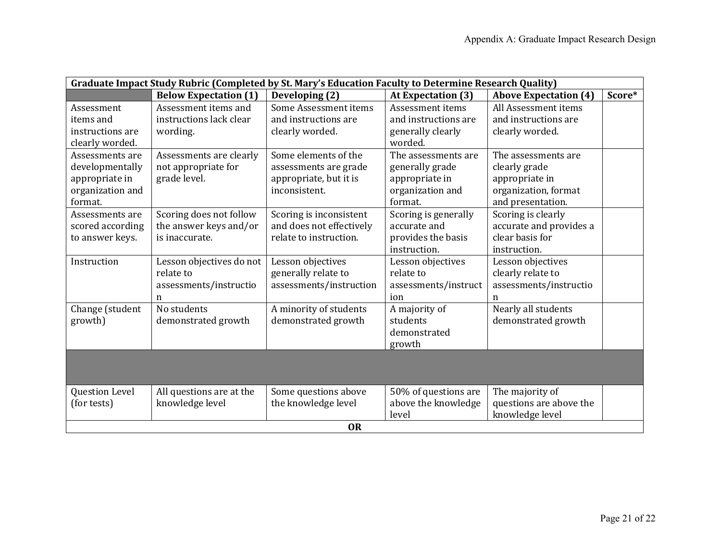| Graduate Impact Study Rubric (Completed by St. Mary's Education Faculty to Determine Research Quality) |                              |                          |                      |                              |        |  |  |  |
|--------------------------------------------------------------------------------------------------------|------------------------------|--------------------------|----------------------|------------------------------|--------|--|--|--|
|                                                                                                        | <b>Below Expectation (1)</b> | Developing (2)           | At Expectation (3)   | <b>Above Expectation (4)</b> | Score* |  |  |  |
| Assessment                                                                                             | Assessment items and         | Some Assessment items    | Assessment items     | All Assessment items         |        |  |  |  |
| items and                                                                                              | instructions lack clear      | and instructions are     | and instructions are | and instructions are         |        |  |  |  |
| instructions are                                                                                       | wording.                     | clearly worded.          | generally clearly    | clearly worded.              |        |  |  |  |
| clearly worded.                                                                                        |                              |                          | worded.              |                              |        |  |  |  |
| Assessments are                                                                                        | Assessments are clearly      | Some elements of the     | The assessments are  | The assessments are          |        |  |  |  |
| developmentally                                                                                        | not appropriate for          | assessments are grade    | generally grade      | clearly grade                |        |  |  |  |
| appropriate in                                                                                         | grade level.                 | appropriate, but it is   | appropriate in       | appropriate in               |        |  |  |  |
| organization and                                                                                       |                              | inconsistent.            | organization and     | organization, format         |        |  |  |  |
| format.                                                                                                |                              |                          | format.              | and presentation.            |        |  |  |  |
| Assessments are                                                                                        | Scoring does not follow      | Scoring is inconsistent  | Scoring is generally | Scoring is clearly           |        |  |  |  |
| scored according                                                                                       | the answer keys and/or       | and does not effectively | accurate and         | accurate and provides a      |        |  |  |  |
| to answer keys.                                                                                        | is inaccurate.               | relate to instruction.   | provides the basis   | clear basis for              |        |  |  |  |
|                                                                                                        |                              |                          | instruction.         | instruction.                 |        |  |  |  |
| Instruction                                                                                            | Lesson objectives do not     | Lesson objectives        | Lesson objectives    | Lesson objectives            |        |  |  |  |
|                                                                                                        | relate to                    | generally relate to      | relate to            | clearly relate to            |        |  |  |  |
|                                                                                                        | assessments/instructio       | assessments/instruction  | assessments/instruct | assessments/instructio       |        |  |  |  |
|                                                                                                        | n                            |                          | ion                  | $\mathbf n$                  |        |  |  |  |
| Change (student                                                                                        | No students                  | A minority of students   | A majority of        | Nearly all students          |        |  |  |  |
| growth)                                                                                                | demonstrated growth          | demonstrated growth      | students             | demonstrated growth          |        |  |  |  |
|                                                                                                        |                              |                          | demonstrated         |                              |        |  |  |  |
|                                                                                                        |                              |                          | growth               |                              |        |  |  |  |
|                                                                                                        |                              |                          |                      |                              |        |  |  |  |
|                                                                                                        |                              |                          |                      |                              |        |  |  |  |
|                                                                                                        |                              |                          |                      |                              |        |  |  |  |
| Question Level                                                                                         | All questions are at the     | Some questions above     | 50% of questions are | The majority of              |        |  |  |  |
| (for tests)                                                                                            | knowledge level              | the knowledge level      | above the knowledge  | questions are above the      |        |  |  |  |
|                                                                                                        |                              |                          | level                | knowledge level              |        |  |  |  |
|                                                                                                        |                              | <b>OR</b>                |                      |                              |        |  |  |  |